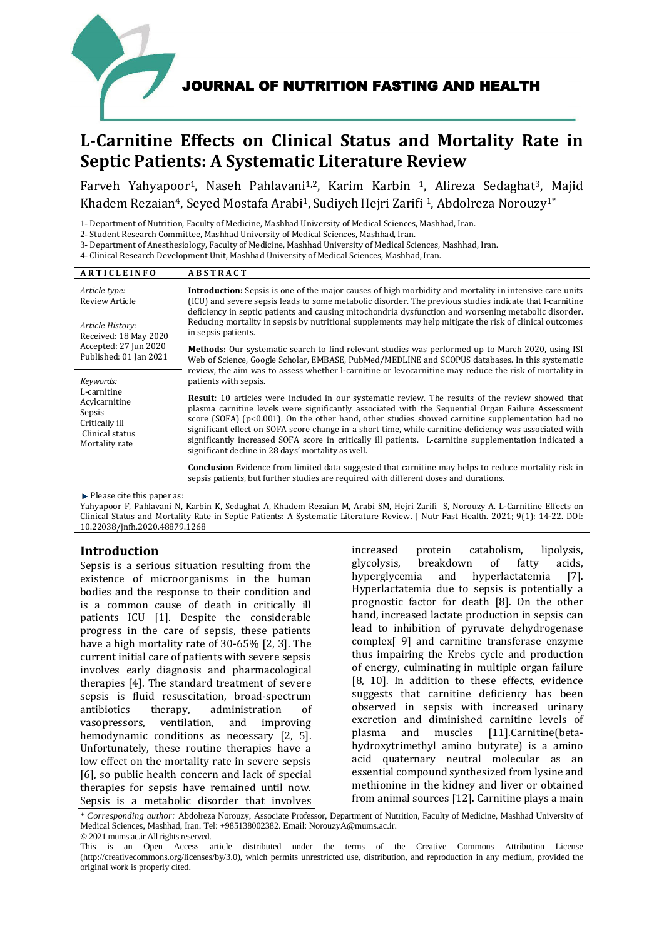

# **L-Carnitine Effects on Clinical Status and Mortality Rate in Septic Patients: A Systematic Literature Review**

Farveh Yahyapoor<sup>1</sup>, Naseh Pahlavani<sup>1,2</sup>, Karim Karbin <sup>1</sup>, Alireza Sedaghat<sup>3</sup>, Majid Khadem Rezaian<sup>4</sup>, Seyed Mostafa Arabi<sup>1</sup>, Sudiyeh Hejri Zarifi <sup>1</sup>, Abdolreza Norouzy<sup>1\*</sup>

1- Department of Nutrition, Faculty of Medicine, Mashhad University of Medical Sciences, Mashhad, Iran.

2- Student Research Committee, Mashhad University of Medical Sciences, Mashhad, Iran.

3- Department of Anesthesiology, Faculty of Medicine, Mashhad University of Medical Sciences, Mashhad, Iran.

4- Clinical Research Development Unit, Mashhad University of Medical Sciences, Mashhad, Iran.

| <b>ARTICLEINFO</b>                                                                            | <b>ABSTRACT</b>                                                                                                                                                                                                                                                                                                                                                                                                                                                                                                                                                                                  |  |  |  |  |
|-----------------------------------------------------------------------------------------------|--------------------------------------------------------------------------------------------------------------------------------------------------------------------------------------------------------------------------------------------------------------------------------------------------------------------------------------------------------------------------------------------------------------------------------------------------------------------------------------------------------------------------------------------------------------------------------------------------|--|--|--|--|
| Article type:<br><b>Review Article</b>                                                        | <b>Introduction:</b> Sepsis is one of the major causes of high morbidity and mortality in intensive care units<br>(ICU) and severe sepsis leads to some metabolic disorder. The previous studies indicate that l-carnitine<br>deficiency in septic patients and causing mitochondria dysfunction and worsening metabolic disorder.                                                                                                                                                                                                                                                               |  |  |  |  |
| Article History:<br>Received: 18 May 2020<br>Accepted: 27 Jun 2020<br>Published: 01 Jan 2021  | Reducing mortality in sepsis by nutritional supplements may help mitigate the risk of clinical outcomes<br>in sepsis patients.                                                                                                                                                                                                                                                                                                                                                                                                                                                                   |  |  |  |  |
|                                                                                               | <b>Methods:</b> Our systematic search to find relevant studies was performed up to March 2020, using ISI<br>Web of Science, Google Scholar, EMBASE, PubMed/MEDLINE and SCOPUS databases. In this systematic                                                                                                                                                                                                                                                                                                                                                                                      |  |  |  |  |
| Keywords:                                                                                     | review, the aim was to assess whether l-carnitine or levocarnitine may reduce the risk of mortality in<br>patients with sepsis.                                                                                                                                                                                                                                                                                                                                                                                                                                                                  |  |  |  |  |
| L-carnitine<br>Acylcarnitine<br>Sepsis<br>Critically ill<br>Clinical status<br>Mortality rate | <b>Result:</b> 10 articles were included in our systematic review. The results of the review showed that<br>plasma carnitine levels were significantly associated with the Sequential Organ Failure Assessment<br>score (SOFA) $(p<0.001)$ . On the other hand, other studies showed carnitine supplementation had no<br>significant effect on SOFA score change in a short time, while carnitine deficiency was associated with<br>significantly increased SOFA score in critically ill patients. L-carnitine supplementation indicated a<br>significant decline in 28 days' mortality as well. |  |  |  |  |
|                                                                                               | <b>Conclusion</b> Evidence from limited data suggested that carnitine may helps to reduce mortality risk in<br>sepsis patients, but further studies are required with different doses and durations.                                                                                                                                                                                                                                                                                                                                                                                             |  |  |  |  |

Please cite this paper as:

Yahyapoor F, Pahlavani N, Karbin K, Sedaghat A, Khadem Rezaian M, Arabi SM, Hejri Zarifi S, Norouzy A. L-Carnitine Effects on Clinical Status and Mortality Rate in Septic Patients: A Systematic Literature Review. J Nutr Fast Health. 2021; 9(1): 14-22. DOI: 10.22038/jnfh.2020.48879.1268

## **Introduction**

Sepsis is a serious situation resulting from the existence of microorganisms in the human bodies and the response to their condition and is a common cause of death in critically ill patients ICU [1]. Despite the considerable progress in the care of sepsis, these patients have a high mortality rate of 30-65% [2, 3]. The current initial care of patients with severe sepsis involves early diagnosis and pharmacological therapies [4]. The standard treatment of severe sepsis is fluid resuscitation, broad-spectrum antibiotics therapy, administration of vasopressors, ventilation, and improving hemodynamic conditions as necessary [2, 5]. Unfortunately, these routine therapies have a low effect on the mortality rate in severe sepsis [6], so public health concern and lack of special therapies for sepsis have remained until now. Sepsis is a metabolic disorder that involves

increased protein catabolism, lipolysis, glycolysis, breakdown of fatty acids, hyperglycemia and hyperlactatemia [7]. Hyperlactatemia due to sepsis is potentially a prognostic factor for death [8]. On the other hand, increased lactate production in sepsis can lead to inhibition of pyruvate dehydrogenase complex[ 9] and carnitine transferase enzyme thus impairing the Krebs cycle and production of energy, culminating in multiple organ failure [8, 10]. In addition to these effects, evidence suggests that carnitine deficiency has been observed in sepsis with increased urinary excretion and diminished carnitine levels of plasma and muscles [11].Carnitine(betahydroxytrimethyl amino butyrate) is a amino acid quaternary neutral molecular as an essential compound synthesized from lysine and methionine in the kidney and liver or obtained from animal sources [12]. Carnitine plays a main

\* *Corresponding author:* Abdolreza Norouzy, Associate Professor, Department of Nutrition, Faculty of Medicine, Mashhad University of Medical Sciences, Mashhad, Iran. Tel: +985138002382. Email: NorouzyA@mums.ac.ir. © 2021 mums.ac.ir All rights reserved.

This is an Open Access article distributed under the terms of the Creative Commons Attribution License (http://creativecommons.org/licenses/by/3.0), which permits unrestricted use, distribution, and reproduction in any medium, provided the original work is properly cited.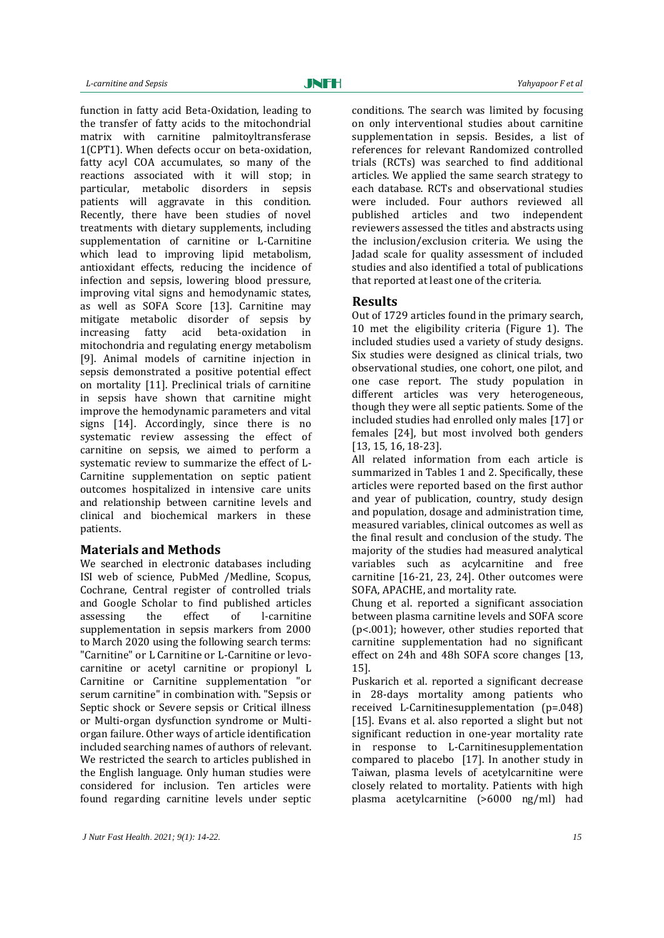JNFH

function in fatty acid Beta-Oxidation, leading to the transfer of fatty acids to the mitochondrial matrix with carnitine palmitoyltransferase 1(CPT1). When defects occur on beta-oxidation, fatty acyl COA accumulates, so many of the reactions associated with it will stop; in particular, metabolic disorders in sepsis patients will aggravate in this condition. Recently, there have been studies of novel treatments with dietary supplements, including supplementation of carnitine or L-Carnitine which lead to improving lipid metabolism, antioxidant effects, reducing the incidence of infection and sepsis, lowering blood pressure, improving vital signs and hemodynamic states, as well as SOFA Score [13]. Carnitine may mitigate metabolic disorder of sepsis by increasing fatty acid beta-oxidation in mitochondria and regulating energy metabolism [9]. Animal models of carnitine injection in sepsis demonstrated a positive potential effect on mortality [11]. Preclinical trials of carnitine in sepsis have shown that carnitine might improve the hemodynamic parameters and vital signs [14]. Accordingly, since there is no systematic review assessing the effect of carnitine on sepsis, we aimed to perform a systematic review to summarize the effect of L-Carnitine supplementation on septic patient outcomes hospitalized in intensive care units and relationship between carnitine levels and clinical and biochemical markers in these patients.

## **Materials and Methods**

We searched in electronic databases including ISI web of science, PubMed /Medline, Scopus, Cochrane, Central register of controlled trials and Google Scholar to find published articles assessing the effect of l-carnitine supplementation in sepsis markers from 2000 to March 2020 using the following search terms: "Carnitine" or L Carnitine or L-Carnitine or levocarnitine or acetyl carnitine or propionyl L Carnitine or Carnitine supplementation "or serum carnitine" in combination with. "Sepsis or Septic shock or Severe sepsis or Critical illness or Multi-organ dysfunction syndrome or Multiorgan failure. Other ways of article identification included searching names of authors of relevant. We restricted the search to articles published in the English language. Only human studies were considered for inclusion. Ten articles were found regarding carnitine levels under septic

conditions. The search was limited by focusing on only interventional studies about carnitine supplementation in sepsis. Besides, a list of references for relevant Randomized controlled trials (RCTs) was searched to find additional articles. We applied the same search strategy to each database. RCTs and observational studies were included. Four authors reviewed all published articles and two independent reviewers assessed the titles and abstracts using the inclusion/exclusion criteria. We using the Jadad scale for quality assessment of included studies and also identified a total of publications that reported at least one of the criteria.

## **Results**

Out of 1729 articles found in the primary search, 10 met the eligibility criteria (Figure 1). The included studies used a variety of study designs. Six studies were designed as clinical trials, two observational studies, one cohort, one pilot, and one case report. The study population in different articles was very heterogeneous, though they were all septic patients. Some of the included studies had enrolled only males [17] or females [24], but most involved both genders [13, 15, 16, 18-23].

All related information from each article is summarized in Tables 1 and 2. Specifically, these articles were reported based on the first author and year of publication, country, study design and population, dosage and administration time, measured variables, clinical outcomes as well as the final result and conclusion of the study. The majority of the studies had measured analytical variables such as acylcarnitine and free carnitine [16-21, 23, 24]. Other outcomes were SOFA, APACHE, and mortality rate.

Chung et al. reported a significant association between plasma carnitine levels and SOFA score (p<.001); however, other studies reported that carnitine supplementation had no significant effect on 24h and 48h SOFA score changes [13, 15].

Puskarich et al. reported a significant decrease in 28-days mortality among patients who received L-Carnitinesupplementation (p=.048) [15]. Evans et al. also reported a slight but not significant reduction in one-year mortality rate in response to L-Carnitinesupplementation compared to placebo [17]. In another study in Taiwan, plasma levels of acetylcarnitine were closely related to mortality. Patients with high plasma acetylcarnitine (>6000 ng/ml) had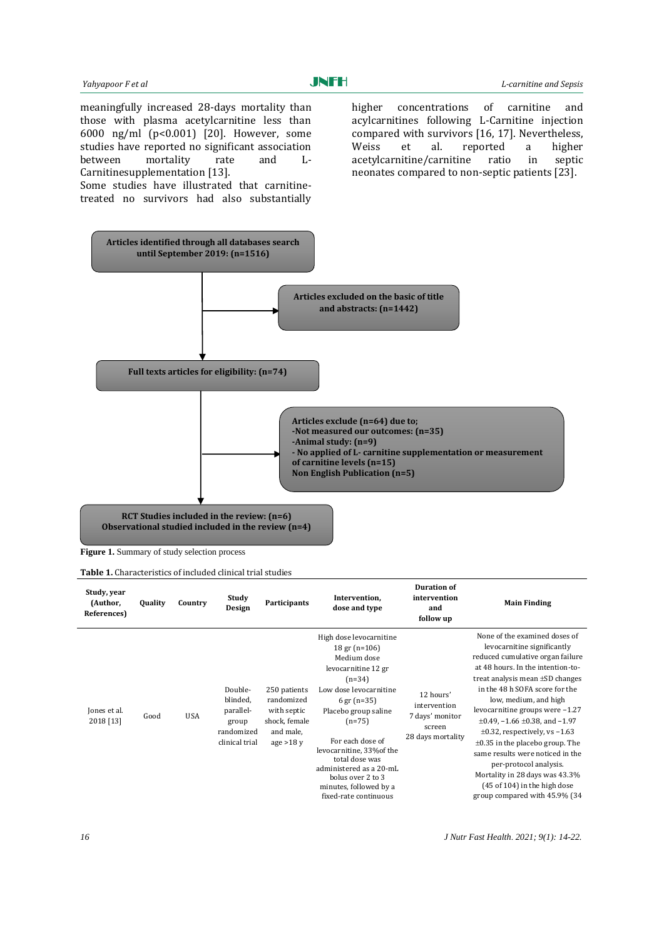meaningfully increased 28-days mortality than those with plasma acetylcarnitine less than 6000 ng/ml (p<0.001) [20]. However, some studies have reported no significant association between mortality rate and L-Carnitinesupplementation [13].

Some studies have illustrated that carnitinetreated no survivors had also substantially higher concentrations of carnitine and acylcarnitines following L-Carnitine injection compared with survivors [16, 17]. Nevertheless, Weiss et al. reported a higher acetylcarnitine/carnitine ratio in septic neonates compared to non-septic patients [23].



**Figure 1.** Summary of study selection process

**Table 1.** Characteristics of included clinical trial studies

| Study, year<br>(Author,<br>References) | <b>Quality</b> | Country    | Study<br>Design                                                           | Participants                                                                          | Intervention,<br>dose and type                                                                                                                                                                                                                                                                                                                            | <b>Duration of</b><br>intervention<br>and<br>follow up                      | <b>Main Finding</b>                                                                                                                                                                                                                                                                                                                                                                                                                                                                                                                                                          |
|----------------------------------------|----------------|------------|---------------------------------------------------------------------------|---------------------------------------------------------------------------------------|-----------------------------------------------------------------------------------------------------------------------------------------------------------------------------------------------------------------------------------------------------------------------------------------------------------------------------------------------------------|-----------------------------------------------------------------------------|------------------------------------------------------------------------------------------------------------------------------------------------------------------------------------------------------------------------------------------------------------------------------------------------------------------------------------------------------------------------------------------------------------------------------------------------------------------------------------------------------------------------------------------------------------------------------|
| Jones et al.<br>2018 [13]              | Good           | <b>USA</b> | Double-<br>blinded,<br>parallel-<br>group<br>randomized<br>clinical trial | 250 patients<br>randomized<br>with septic<br>shock, female<br>and male,<br>age $>18y$ | High dose levocarnitine<br>$18 \text{ gr (n=106)}$<br>Medium dose<br>levocarnitine 12 gr<br>$(n=34)$<br>Low dose levocarnitine<br>6 gr $(n=35)$<br>Placebo group saline<br>$(n=75)$<br>For each dose of<br>levocarnitine, 33% of the<br>total dose was<br>administered as a 20-mL<br>bolus over 2 to 3<br>minutes, followed by a<br>fixed-rate continuous | 12 hours'<br>intervention<br>7 days' monitor<br>screen<br>28 days mortality | None of the examined doses of<br>levocarnitine significantly<br>reduced cumulative organ failure<br>at 48 hours. In the intention-to-<br>treat analysis mean $\pm SD$ changes<br>in the 48 h SOFA score for the<br>low, medium, and high<br>levocarnitine groups were $-1.27$<br>$\pm 0.49$ , $-1.66 \pm 0.38$ , and $-1.97$<br>$\pm 0.32$ , respectively, vs -1.63<br>$\pm 0.35$ in the placebo group. The<br>same results were noticed in the<br>per-protocol analysis.<br>Mortality in 28 days was 43.3%<br>(45 of 104) in the high dose<br>group compared with 45.9% (34 |

*16 J Nutr Fast Health*. *2021; 9(1): 14-22.*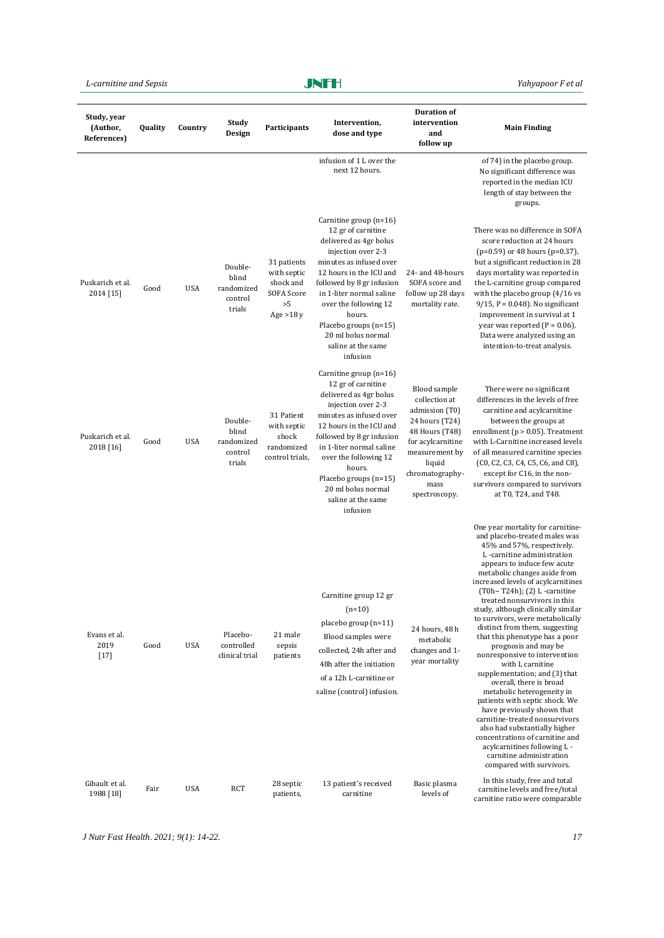*L-carnitine and Sepsis Yahyapoor F et al*

## JNFH

| Study, year<br>(Author,<br>References) | Quality | Country    | Study<br>Design                                     | Participants                                                                      | Intervention,<br>dose and type                                                                                                                                                                                                                                                                                                  | <b>Duration of</b><br>intervention<br>and<br>follow up                                                                                                                           | <b>Main Finding</b>                                                                                                                                                                                                                                                                                                                                                                                                                                                                                                                                                                                                                                                                                                                                                                                                                                                                           |
|----------------------------------------|---------|------------|-----------------------------------------------------|-----------------------------------------------------------------------------------|---------------------------------------------------------------------------------------------------------------------------------------------------------------------------------------------------------------------------------------------------------------------------------------------------------------------------------|----------------------------------------------------------------------------------------------------------------------------------------------------------------------------------|-----------------------------------------------------------------------------------------------------------------------------------------------------------------------------------------------------------------------------------------------------------------------------------------------------------------------------------------------------------------------------------------------------------------------------------------------------------------------------------------------------------------------------------------------------------------------------------------------------------------------------------------------------------------------------------------------------------------------------------------------------------------------------------------------------------------------------------------------------------------------------------------------|
|                                        |         |            |                                                     |                                                                                   | infusion of 1 L over the<br>next 12 hours.                                                                                                                                                                                                                                                                                      |                                                                                                                                                                                  | of 74) in the placebo group.<br>No significant difference was<br>reported in the median ICU<br>length of stay between the<br>groups.                                                                                                                                                                                                                                                                                                                                                                                                                                                                                                                                                                                                                                                                                                                                                          |
| Puskarich et al.<br>2014 [15]          | Good    | <b>USA</b> | Double-<br>blind<br>randomized<br>control<br>trials | 31 patients<br>with septic<br>shock and<br><b>SOFA Score</b><br>>5<br>Age $>18 y$ | Carnitine group (n=16)<br>12 gr of carnitine<br>delivered as 4gr bolus<br>injection over 2-3<br>minutes as infused over<br>12 hours in the ICU and<br>followed by 8 gr infusion<br>in 1-liter normal saline<br>over the following 12<br>hours.<br>Placebo groups (n=15)<br>20 ml bolus normal<br>saline at the same<br>infusion | 24- and 48-hours<br>SOFA score and<br>follow up 28 days<br>mortality rate.                                                                                                       | There was no difference in SOFA<br>score reduction at 24 hours<br>(p=0.59) or 48 hours (p=0.37),<br>but a significant reduction in 28<br>days mortality was reported in<br>the L-carnitine group compared<br>with the placebo group $(4/16$ vs<br>$9/15$ , P = 0.048). No significant<br>improvement in survival at 1<br>year was reported ( $P = 0.06$ ).<br>Data were analyzed using an<br>intention-to-treat analysis.                                                                                                                                                                                                                                                                                                                                                                                                                                                                     |
| Puskarich et al.<br>2018 [16]          | Good    | <b>USA</b> | Double-<br>blind<br>randomized<br>control<br>trials | 31 Patient<br>with septic<br>shock<br>randomized<br>control trials.               | Carnitine group (n=16)<br>12 gr of carnitine<br>delivered as 4gr bolus<br>injection over 2-3<br>minutes as infused over<br>12 hours in the ICU and<br>followed by 8 gr infusion<br>in 1-liter normal saline<br>over the following 12<br>hours.<br>Placebo groups (n=15)<br>20 ml bolus normal<br>saline at the same<br>infusion | Blood sample<br>collection at<br>admission (T0)<br>24 hours (T24)<br>48 Hours (T48)<br>for acylcarnitine<br>measurement by<br>liquid<br>chromatography-<br>mass<br>spectroscopy. | There were no significant<br>differences in the levels of free<br>carnitine and acylcarnitine<br>between the groups at<br>enrollment (p > 0.05). Treatment<br>with L-Carnitine increased levels<br>of all measured carnitine species<br>(C0, C2, C3, C4, C5, C6, and C8),<br>except for C16, in the non-<br>survivors compared to survivors<br>at T0, T24, and T48.                                                                                                                                                                                                                                                                                                                                                                                                                                                                                                                           |
| Evans et al.<br>2019<br>$[17]$         | Good    | <b>USA</b> | Placebo-<br>controlled<br>clinical trial            | 21 male<br>sepsis<br>patients                                                     | Carnitine group 12 gr<br>$(n=10)$<br>placebo group (n=11)<br>Blood samples were<br>collected, 24h after and<br>48h after the initiation<br>of a 12h L-carnitine or<br>saline (control) infusion.                                                                                                                                | 24 hours, 48 h<br>metabolic<br>changes and 1-<br>year mortality                                                                                                                  | One year mortality for carnitine-<br>and placebo-treated males was<br>45% and 57%, respectively.<br>L-carnitine administration<br>appears to induce few acute<br>metabolic changes aside from<br>increased levels of acylcarnitines<br>$(T0h - T24h)$ ; $(2)$ L -carnitine<br>treated nonsurvivors in this<br>study, although clinically similar<br>to survivors, were metabolically<br>distinct from them, suggesting<br>that this phenotype has a poor<br>prognosis and may be<br>nonresponsive to intervention<br>with L carnitine<br>supplementation; and (3) that<br>overall, there is broad<br>metabolic heterogeneity in<br>patients with septic shock. We<br>have previously shown that<br>carnitine-treated nonsurvivors<br>also had substantially higher<br>concentrations of carnitine and<br>acylcarnitines following L -<br>carnitine administration<br>compared with survivors. |
| Gibault et al.<br>1988 [18]            | Fair    | <b>USA</b> | RCT                                                 | 28 septic<br>patients,                                                            | 13 patient's received<br>carnitine                                                                                                                                                                                                                                                                                              | Basic plasma<br>levels of                                                                                                                                                        | In this study, free and total<br>carnitine levels and free/total<br>carnitine ratio were comparable                                                                                                                                                                                                                                                                                                                                                                                                                                                                                                                                                                                                                                                                                                                                                                                           |

*J Nutr Fast Health*. *2021; 9(1): 14-22. 17*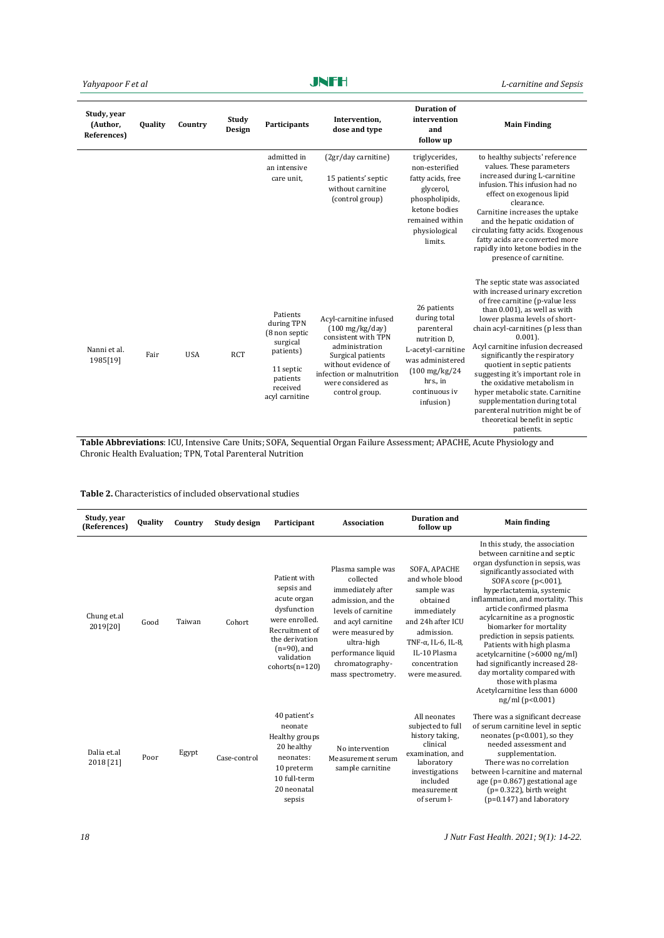## JNFH

*Yahyapoor F et al L-carnitine and Sepsis*

| Study, year<br>(Author,<br>References) | <b>Quality</b> | Country    | Study<br>Design | <b>Participants</b>                                                                                                     | Intervention,<br>dose and type                                                                                                                                                                                | <b>Duration of</b><br>intervention<br>and<br>follow up                                                                                                                    | <b>Main Finding</b>                                                                                                                                                                                                                                                                                                                                                                                                                                                                                                                                        |
|----------------------------------------|----------------|------------|-----------------|-------------------------------------------------------------------------------------------------------------------------|---------------------------------------------------------------------------------------------------------------------------------------------------------------------------------------------------------------|---------------------------------------------------------------------------------------------------------------------------------------------------------------------------|------------------------------------------------------------------------------------------------------------------------------------------------------------------------------------------------------------------------------------------------------------------------------------------------------------------------------------------------------------------------------------------------------------------------------------------------------------------------------------------------------------------------------------------------------------|
|                                        |                |            |                 | admitted in<br>an intensive<br>care unit,                                                                               | (2gr/day carnitine)<br>15 patients' septic<br>without carnitine<br>(control group)                                                                                                                            | triglycerides,<br>non-esterified<br>fatty acids, free<br>glycerol,<br>phospholipids,<br>ketone bodies<br>remained within<br>physiological<br>limits.                      | to healthy subjects' reference<br>values. These parameters<br>increased during L-carnitine<br>infusion. This infusion had no<br>effect on exogenous lipid<br>clearance.<br>Carnitine increases the uptake<br>and the hepatic oxidation of<br>circulating fatty acids. Exogenous<br>fatty acids are converted more<br>rapidly into ketone bodies in the<br>presence of carnitine.                                                                                                                                                                           |
| Nanni et al.<br>1985[19]               | Fair           | <b>USA</b> | <b>RCT</b>      | Patients<br>during TPN<br>(8 non septic<br>surgical<br>patients)<br>11 septic<br>patients<br>received<br>acyl carnitine | Acyl-carnitine infused<br>$(100 \text{ mg/kg/day})$<br>consistent with TPN<br>administration<br>Surgical patients<br>without evidence of<br>infection or malnutrition<br>were considered as<br>control group. | 26 patients<br>during total<br>parenteral<br>nutrition D.<br>L-acetyl-carnitine<br>was administered<br>$(100 \text{ mg/kg}/24)$<br>hrs., in<br>continuous iv<br>infusion) | The septic state was associated<br>with increased urinary excretion<br>of free carnitine (p-value less<br>than 0.001), as well as with<br>lower plasma levels of short-<br>chain acyl-carnitines (p less than<br>$0.001$ ).<br>Acyl carnitine infusion decreased<br>significantly the respiratory<br>quotient in septic patients<br>suggesting it's important role in<br>the oxidative metabolism in<br>hyper metabolic state. Carnitine<br>supplementation during total<br>parenteral nutrition might be of<br>theoretical benefit in septic<br>patients. |

**Table Abbreviations**: ICU, Intensive Care Units; SOFA, Sequential Organ Failure Assessment; APACHE, Acute Physiology and Chronic Health Evaluation; TPN, Total Parenteral Nutrition

## **Table 2.** Characteristics of included observational studies

| Study, year              |                |         |              |                                                                                                                                                                    |                                                                                                                                                                                                                         | Duration and                                                                                                                                                                                  |                                                                                                                                                                                                                                                                                                                                                                                                                                                                                                                                                                            |
|--------------------------|----------------|---------|--------------|--------------------------------------------------------------------------------------------------------------------------------------------------------------------|-------------------------------------------------------------------------------------------------------------------------------------------------------------------------------------------------------------------------|-----------------------------------------------------------------------------------------------------------------------------------------------------------------------------------------------|----------------------------------------------------------------------------------------------------------------------------------------------------------------------------------------------------------------------------------------------------------------------------------------------------------------------------------------------------------------------------------------------------------------------------------------------------------------------------------------------------------------------------------------------------------------------------|
| (References)             | <b>Quality</b> | Country | Study design | Participant                                                                                                                                                        | Association                                                                                                                                                                                                             | follow up                                                                                                                                                                                     | <b>Main finding</b>                                                                                                                                                                                                                                                                                                                                                                                                                                                                                                                                                        |
| Chung et.al<br>2019[20]  | Good           | Taiwan  | Cohort       | Patient with<br>sepsis and<br>acute organ<br>dysfunction<br>were enrolled.<br>Recruitment of<br>the derivation<br>$(n=90)$ , and<br>validation<br>$cohorts(n=120)$ | Plasma sample was<br>collected<br>immediately after<br>admission, and the<br>levels of carnitine<br>and acyl carnitine<br>were measured by<br>ultra-high<br>performance liquid<br>chromatography-<br>mass spectrometry. | SOFA, APACHE<br>and whole blood<br>sample was<br>obtained<br>immediately<br>and 24h after ICU<br>admission.<br>TNF- $\alpha$ , IL-6, IL-8,<br>IL-10 Plasma<br>concentration<br>were measured. | In this study, the association<br>between carnitine and septic<br>organ dysfunction in sepsis, was<br>significantly associated with<br>SOFA score $(p<.001)$ ,<br>hyperlactatemia, systemic<br>inflammation, and mortality. This<br>article confirmed plasma<br>acylcarnitine as a prognostic<br>biomarker for mortality<br>prediction in sepsis patients.<br>Patients with high plasma<br>acetylcarnitine (>6000 ng/ml)<br>had significantly increased 28-<br>day mortality compared with<br>those with plasma<br>Acetylcarnitine less than 6000<br>$ng/ml$ ( $p<0.001$ ) |
| Dalia et.al<br>2018 [21] | Poor           | Egypt   | Case-control | 40 patient's<br>neonate<br>Healthy groups<br>20 healthy<br>neonates:<br>10 preterm<br>10 full-term<br>20 neonatal<br>sepsis                                        | No intervention<br>Measurement serum<br>sample carnitine                                                                                                                                                                | All neonates<br>subjected to full<br>history taking,<br>clinical<br>examination, and<br>laboratory<br>investigations<br>included<br>measurement<br>of serum l-                                | There was a significant decrease<br>of serum carnitine level in septic<br>neonates ( $p<0.001$ ), so they<br>needed assessment and<br>supplementation.<br>There was no correlation<br>between l-carnitine and maternal<br>age ( $p = 0.867$ ) gestational age<br>$(p = 0.322)$ , birth weight<br>$(p=0.147)$ and laboratory                                                                                                                                                                                                                                                |

*18 J Nutr Fast Health*. *2021; 9(1): 14-22.*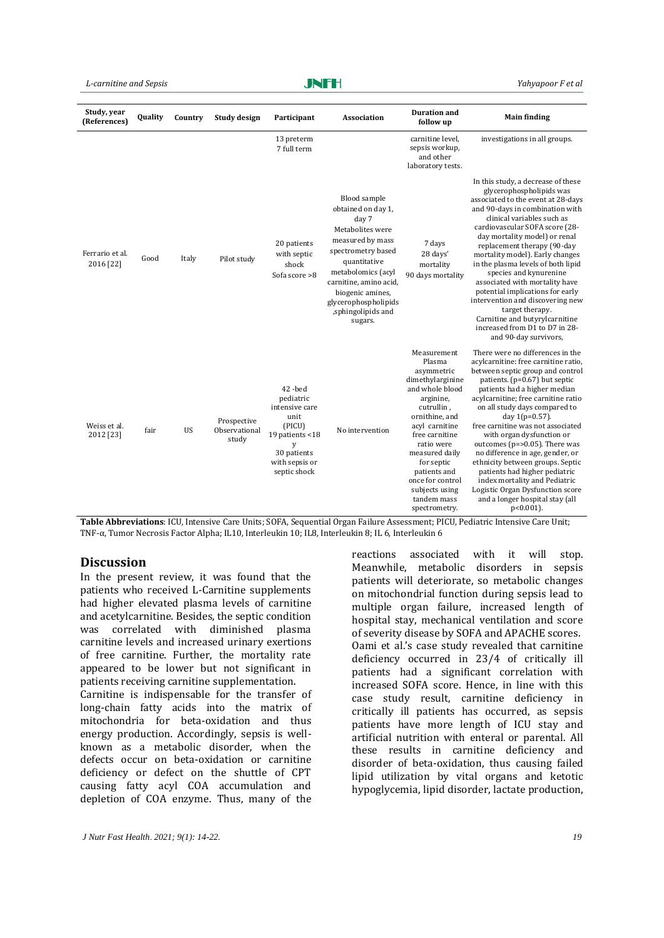### *L-carnitine and Sepsis Yahyapoor F et al*

JNFH

| Study, year<br>(References)  | Quality | Country   | <b>Study design</b>                   | Participant                                                                                                                      | Association                                                                                                                                                                                                                                            | <b>Duration and</b><br>follow up                                                                                                                                                                                                                                                                | <b>Main finding</b>                                                                                                                                                                                                                                                                                                                                                                                                                                                                                                                                                                                                   |
|------------------------------|---------|-----------|---------------------------------------|----------------------------------------------------------------------------------------------------------------------------------|--------------------------------------------------------------------------------------------------------------------------------------------------------------------------------------------------------------------------------------------------------|-------------------------------------------------------------------------------------------------------------------------------------------------------------------------------------------------------------------------------------------------------------------------------------------------|-----------------------------------------------------------------------------------------------------------------------------------------------------------------------------------------------------------------------------------------------------------------------------------------------------------------------------------------------------------------------------------------------------------------------------------------------------------------------------------------------------------------------------------------------------------------------------------------------------------------------|
|                              |         |           |                                       | 13 preterm<br>7 full term                                                                                                        |                                                                                                                                                                                                                                                        | carnitine level.<br>sepsis workup,<br>and other<br>laboratory tests.                                                                                                                                                                                                                            | investigations in all groups.                                                                                                                                                                                                                                                                                                                                                                                                                                                                                                                                                                                         |
| Ferrario et al.<br>2016 [22] | Good    | Italy     | Pilot study                           | 20 patients<br>with septic<br>shock<br>Sofa score >8                                                                             | Blood sample<br>obtained on day 1,<br>day 7<br>Metabolites were<br>measured by mass<br>spectrometry based<br>quantitative<br>metabolomics (acyl<br>carnitine, amino acid,<br>biogenic amines,<br>glycerophospholipids<br>,sphingolipids and<br>sugars. | 7 days<br>28 days'<br>mortality<br>90 days mortality                                                                                                                                                                                                                                            | In this study, a decrease of these<br>glycerophospholipids was<br>associated to the event at 28-days<br>and 90-days in combination with<br>clinical variables such as<br>cardiovascular SOFA score (28-<br>day mortality model) or renal<br>replacement therapy (90-day<br>mortality model). Early changes<br>in the plasma levels of both lipid<br>species and kynurenine<br>associated with mortality have<br>potential implications for early<br>intervention and discovering new<br>target therapy.<br>Carnitine and butyrylcarnitine<br>increased from D1 to D7 in 28-<br>and 90-day survivors.                  |
| Weiss et al.<br>2012 [23]    | fair    | <b>US</b> | Prospective<br>Observational<br>study | 42-bed<br>pediatric<br>intensive care<br>unit<br>(PICU)<br>19 patients <18<br>y<br>30 patients<br>with sepsis or<br>septic shock | No intervention                                                                                                                                                                                                                                        | Measurement<br>Plasma<br>asymmetric<br>dimethylarginine<br>and whole blood<br>arginine,<br>cutrullin,<br>ornithine, and<br>acyl carnitine<br>free carnitine<br>ratio were<br>measured daily<br>for septic<br>patients and<br>once for control<br>subjects using<br>tandem mass<br>spectrometry. | There were no differences in the<br>acylcarnitine: free carnitine ratio,<br>between septic group and control<br>patients. (p=0.67) but septic<br>patients had a higher median<br>acylcarnitine; free carnitine ratio<br>on all study days compared to<br>day $1(p=0.57)$ .<br>free carnitine was not associated<br>with organ dysfunction or<br>outcomes ( $p = > 0.05$ ). There was<br>no difference in age, gender, or<br>ethnicity between groups. Septic<br>patients had higher pediatric<br>index mortality and Pediatric<br>Logistic Organ Dysfunction score<br>and a longer hospital stay (all<br>$p<0.001$ ). |

**Table Abbreviations**: ICU, Intensive Care Units; SOFA, Sequential Organ Failure Assessment; PICU, Pediatric Intensive Care Unit; TNF-α, Tumor Necrosis Factor Alpha; IL10, Interleukin 10; IL8, Interleukin 8; IL 6, Interleukin 6

## **Discussion**

In the present review, it was found that the patients who received L-Carnitine supplements had higher elevated plasma levels of carnitine and acetylcarnitine. Besides, the septic condition was correlated with diminished plasma carnitine levels and increased urinary exertions of free carnitine. Further, the mortality rate appeared to be lower but not significant in patients receiving carnitine supplementation. Carnitine is indispensable for the transfer of

long-chain fatty acids into the matrix of mitochondria for beta-oxidation and thus energy production. Accordingly, sepsis is wellknown as a metabolic disorder, when the defects occur on beta-oxidation or carnitine deficiency or defect on the shuttle of CPT causing fatty acyl COA accumulation and depletion of COA enzyme. Thus, many of the

*J Nutr Fast Health*. *2021; 9(1): 14-22. 19*

reactions associated with it will stop. Meanwhile, metabolic disorders in sepsis patients will deteriorate, so metabolic changes on mitochondrial function during sepsis lead to multiple organ failure, increased length of hospital stay, mechanical ventilation and score of severity disease by SOFA and APACHE scores. Oami et al.'s case study revealed that carnitine deficiency occurred in 23/4 of critically ill patients had a significant correlation with increased SOFA score. Hence, in line with this case study result, carnitine deficiency in critically ill patients has occurred, as sepsis patients have more length of ICU stay and artificial nutrition with enteral or parental. All these results in carnitine deficiency and disorder of beta-oxidation, thus causing failed lipid utilization by vital organs and ketotic hypoglycemia, lipid disorder, lactate production,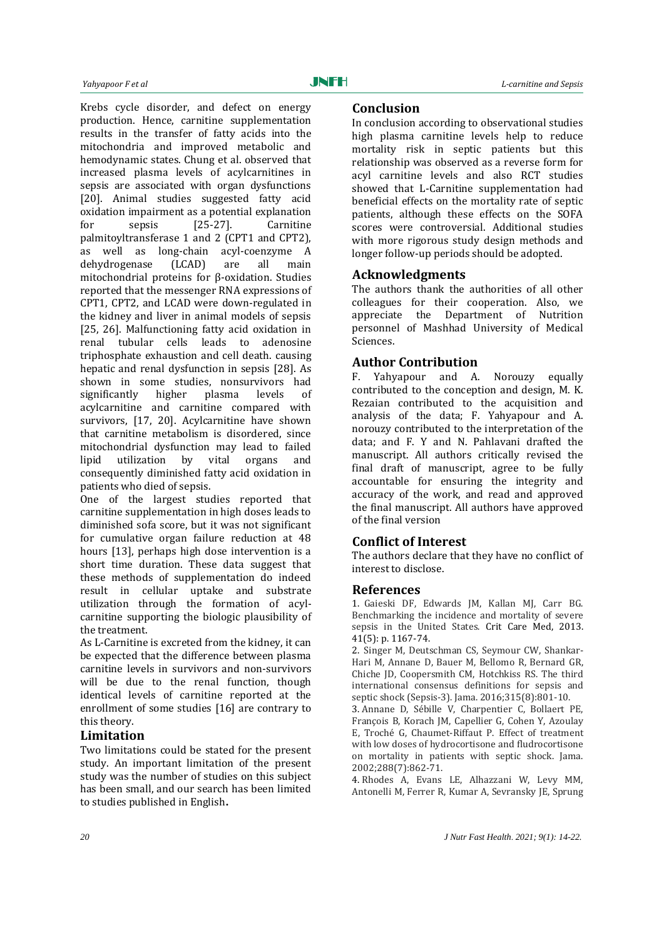Krebs cycle disorder, and defect on energy production. Hence, carnitine supplementation results in the transfer of fatty acids into the mitochondria and improved metabolic and hemodynamic states. Chung et al. observed that increased plasma levels of acylcarnitines in sepsis are associated with organ dysfunctions [20]. Animal studies suggested fatty acid oxidation impairment as a potential explanation for sepsis [25-27]. Carnitine palmitoyltransferase 1 and 2 (CPT1 and CPT2), as well as long-chain acyl-coenzyme A dehydrogenase (LCAD) are all main mitochondrial proteins for β-oxidation. Studies reported that the messenger RNA expressions of CPT1, CPT2, and LCAD were down-regulated in the kidney and liver in animal models of sepsis [25, 26]. Malfunctioning fatty acid oxidation in renal tubular cells leads to adenosine triphosphate exhaustion and cell death. causing hepatic and renal dysfunction in sepsis [28]. As shown in some studies, nonsurvivors had significantly higher plasma levels of acylcarnitine and carnitine compared with survivors, [17, 20]. Acylcarnitine have shown that carnitine metabolism is disordered, since mitochondrial dysfunction may lead to failed lipid utilization by vital organs and consequently diminished fatty acid oxidation in patients who died of sepsis.

One of the largest studies reported that carnitine supplementation in high doses leads to diminished sofa score, but it was not significant for cumulative organ failure reduction at 48 hours [13], perhaps high dose intervention is a short time duration. These data suggest that these methods of supplementation do indeed result in cellular uptake and substrate utilization through the formation of acylcarnitine supporting the biologic plausibility of the treatment.

As L-Carnitine is excreted from the kidney, it can be expected that the difference between plasma carnitine levels in survivors and non-survivors will be due to the renal function, though identical levels of carnitine reported at the enrollment of some studies [16] are contrary to this theory.

## **Limitation**

Two limitations could be stated for the present study. An important limitation of the present study was the number of studies on this subject has been small, and our search has been limited to studies published in English**.**

## **Conclusion**

In conclusion according to observational studies high plasma carnitine levels help to reduce mortality risk in septic patients but this relationship was observed as a reverse form for acyl carnitine levels and also RCT studies showed that L-Carnitine supplementation had beneficial effects on the mortality rate of septic patients, although these effects on the SOFA scores were controversial. Additional studies with more rigorous study design methods and longer follow-up periods should be adopted.

## **Acknowledgments**

The authors thank the authorities of all other colleagues for their cooperation. Also, we appreciate the Department of Nutrition personnel of Mashhad University of Medical Sciences.

## **Author Contribution**

F. Yahyapour and A. Norouzy equally contributed to the conception and design, M. K. Rezaian contributed to the acquisition and analysis of the data; F. Yahyapour and A. norouzy contributed to the interpretation of the data; and F. Y and N. Pahlavani drafted the manuscript. All authors critically revised the final draft of manuscript, agree to be fully accountable for ensuring the integrity and accuracy of the work, and read and approved the final manuscript. All authors have approved of the final version

## **Conflict of Interest**

The authors declare that they have no conflict of interest to disclose.

## **References**

1. Gaieski DF, Edwards JM, Kallan MJ, Carr BG. Benchmarking the incidence and mortality of severe sepsis in the United States. Crit Care Med, 2013. 41(5): p. 1167-74.

2. Singer M, Deutschman CS, Seymour CW, Shankar-Hari M, Annane D, Bauer M, Bellomo R, Bernard GR, Chiche JD, Coopersmith CM, Hotchkiss RS. The third international consensus definitions for sepsis and septic shock (Sepsis-3). Jama. 2016;315(8):801-10.

3. Annane D, Sébille V, Charpentier C, Bollaert PE, François B, Korach JM, Capellier G, Cohen Y, Azoulay E, Troché G, Chaumet-Riffaut P. Effect of treatment with low doses of hydrocortisone and fludrocortisone on mortality in patients with septic shock. Jama. 2002;288(7):862-71.

4. Rhodes A, Evans LE, Alhazzani W, Levy MM, Antonelli M, Ferrer R, Kumar A, Sevransky JE, Sprung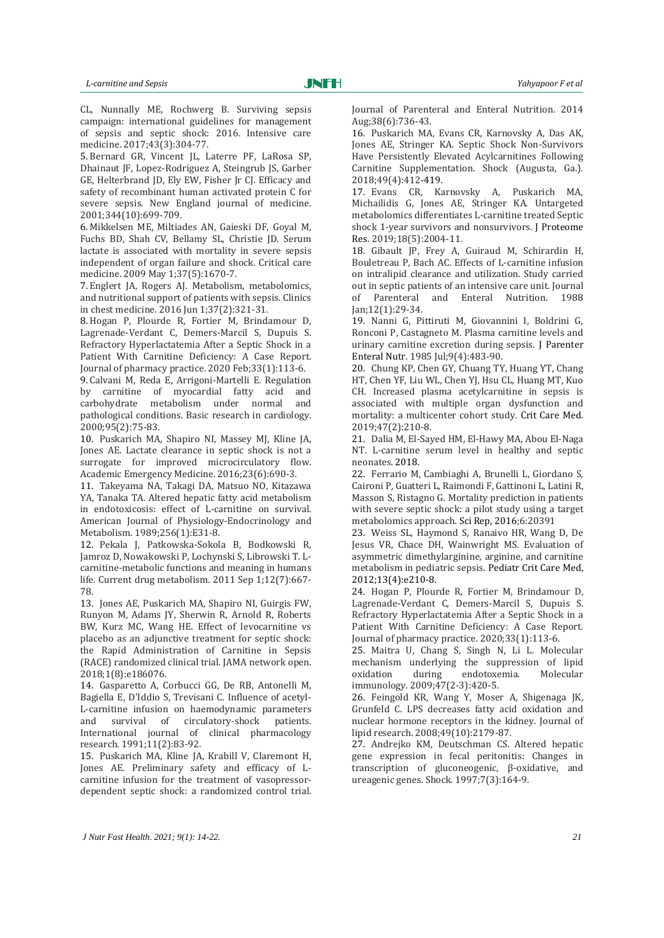CL, Nunnally ME, Rochwerg B. Surviving sepsis campaign: international guidelines for management of sepsis and septic shock: 2016. Intensive care medicine. 2017;43(3):304-77.

5. Bernard GR, Vincent JL, Laterre PF, LaRosa SP, Dhainaut JF, Lopez-Rodriguez A, Steingrub JS, Garber GE, Helterbrand JD, Ely EW, Fisher Jr CJ. Efficacy and safety of recombinant human activated protein C for severe sepsis. New England journal of medicine. 2001;344(10):699-709.

6. Mikkelsen ME, Miltiades AN, Gaieski DF, Goyal M, Fuchs BD, Shah CV, Bellamy SL, Christie JD. Serum lactate is associated with mortality in severe sepsis independent of organ failure and shock. Critical care medicine. 2009 May 1;37(5):1670-7.

7. Englert JA, Rogers AJ. Metabolism, metabolomics, and nutritional support of patients with sepsis. Clinics in chest medicine. 2016 Jun 1;37(2):321-31.

8. Hogan P, Plourde R, Fortier M, Brindamour D, Lagrenade-Verdant C, Demers-Marcil S, Dupuis S. Refractory Hyperlactatemia After a Septic Shock in a Patient With Carnitine Deficiency: A Case Report. Journal of pharmacy practice. 2020 Feb;33(1):113-6.

9. Calvani M, Reda E, Arrigoni-Martelli E. Regulation by carnitine of myocardial fatty acid and carbohydrate metabolism under normal and pathological conditions. Basic research in cardiology. 2000;95(2):75-83.

10. Puskarich MA, Shapiro NI, Massey MJ, Kline JA, Jones AE. Lactate clearance in septic shock is not a surrogate for improved microcirculatory flow. Academic Emergency Medicine. 2016;23(6):690-3.

11. Takeyama NA, Takagi DA, Matsuo NO, Kitazawa YA, Tanaka TA. Altered hepatic fatty acid metabolism in endotoxicosis: effect of L-carnitine on survival. American Journal of Physiology-Endocrinology and Metabolism. 1989;256(1):E31-8.

12. Pekala J, Patkowska-Sokola B, Bodkowski R, Jamroz D, Nowakowski P, Lochynski S, Librowski T. Lcarnitine-metabolic functions and meaning in humans life. Current drug metabolism. 2011 Sep 1;12(7):667- 78.

13. Jones AE, Puskarich MA, Shapiro NI, Guirgis FW, Runyon M, Adams JY, Sherwin R, Arnold R, Roberts BW, Kurz MC, Wang HE. Effect of levocarnitine vs placebo as an adjunctive treatment for septic shock: the Rapid Administration of Carnitine in Sepsis (RACE) randomized clinical trial. JAMA network open. 2018;1(8):e186076.

14. Gasparetto A, Corbucci GG, De RB, Antonelli M, Bagiella E, D'Iddio S, Trevisani C. Influence of acetyl-L-carnitine infusion on haemodynamic parameters and survival of circulatory-shock patients. International journal of clinical pharmacology research. 1991;11(2):83-92.

15. Puskarich MA, Kline JA, Krabill V, Claremont H, Jones AE. Preliminary safety and efficacy of L‐ carnitine infusion for the treatment of vasopressor‐ dependent septic shock: a randomized control trial. Journal of Parenteral and Enteral Nutrition. 2014 Aug;38(6):736-43.

16. Puskarich MA, Evans CR, Karnovsky A, Das AK, Jones AE, Stringer KA. Septic Shock Non-Survivors Have Persistently Elevated Acylcarnitines Following Carnitine Supplementation. Shock (Augusta, Ga.). 2018;49(4):412-419.

17. Evans CR, Karnovsky A, Puskarich MA, Michailidis G, Jones AE, Stringer KA. Untargeted metabolomics differentiates L-carnitine treated Septic shock 1-year survivors and nonsurvivors. J Proteome Res. 2019;18(5):2004-11.

18. Gibault JP, Frey A, Guiraud M, Schirardin H, Bouletreau P, Bach AC. Effects of L‐carnitine infusion on intralipid clearance and utilization. Study carried out in septic patients of an intensive care unit. Journal of Parenteral and Enteral Nutrition. 1988 Jan;12(1):29-34.

19. Nanni G, Pittiruti M, Giovannini I, Boldrini G, Ronconi P, Castagneto M. Plasma carnitine levels and urinary carnitine excretion during sepsis. J Parenter Enteral Nutr. 1985 Jul;9(4):483-90.

20. Chung KP, Chen GY, Chuang TY, Huang YT, Chang HT, Chen YF, Liu WL, Chen YJ, Hsu CL, Huang MT, Kuo CH. Increased plasma acetylcarnitine in sepsis is associated with multiple organ dysfunction and mortality: a multicenter cohort study. Crit Care Med. 2019;47(2):210-8.

21. Dalia M, El-Sayed HM, El-Hawy MA, Abou El-Naga NT. L-carnitine serum level in healthy and septic neonates*.* 2018.

22. Ferrario M, Cambiaghi A, Brunelli L, Giordano S, Caironi P, Guatteri L, Raimondi F, Gattinoni L, Latini R, Masson S, Ristagno G. Mortality prediction in patients with severe septic shock: a pilot study using a target metabolomics approach*.* Sci Rep, 2016;6:20391

23. Weiss SL, Haymond S, Ranaivo HR, Wang D, De Jesus VR, Chace DH, Wainwright MS. Evaluation of asymmetric dimethylarginine, arginine, and carnitine metabolism in pediatric sepsis*.* Pediatr Crit Care Med, 2012;13(4):e210-8.

24. Hogan P, Plourde R, Fortier M, Brindamour D, Lagrenade-Verdant C, Demers-Marcil S, Dupuis S. Refractory Hyperlactatemia After a Septic Shock in a Patient With Carnitine Deficiency: A Case Report. Journal of pharmacy practice. 2020;33(1):113-6.

25. Maitra U, Chang S, Singh N, Li L. Molecular mechanism underlying the suppression of lipid oxidation during endotoxemia. Molecular immunology. 2009;47(2-3):420-5.

26. Feingold KR, Wang Y, Moser A, Shigenaga JK, Grunfeld C. LPS decreases fatty acid oxidation and nuclear hormone receptors in the kidney. Journal of lipid research. 2008;49(10):2179-87.

27. Andrejko KM, Deutschman CS. Altered hepatic gene expression in fecal peritonitis: Changes in transcription of gluconeogenic, β-oxidative, and ureagenic genes. Shock. 1997;7(3):164-9.